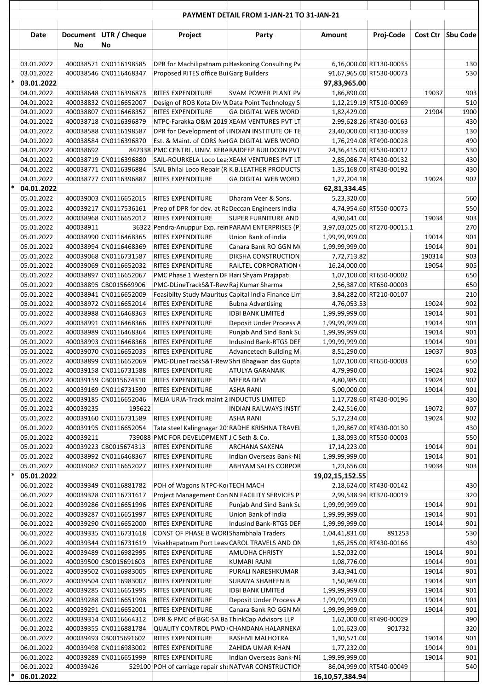|   |                          |           |                                                  |                                                                                             | <b>FATIVILIVI DETAIL FROM I-JAN-21 TO SI-JAN-21</b> |                              |                                                    |                |                     |
|---|--------------------------|-----------|--------------------------------------------------|---------------------------------------------------------------------------------------------|-----------------------------------------------------|------------------------------|----------------------------------------------------|----------------|---------------------|
|   | Date                     | No        | Document UTR / Cheque<br>No                      | Project                                                                                     | Party                                               | Amount                       | Proj-Code                                          |                | Cost Ctr   Sbu Code |
|   |                          |           |                                                  |                                                                                             |                                                     |                              |                                                    |                |                     |
|   | 03.01.2022               |           | 400038571 CN0116198585                           | DPR for Machilipatnam pr Haskoning Consulting Pv                                            |                                                     |                              | 6,16,000.00 RT130-00035                            |                | 130                 |
| * | 03.01.2022               |           | 400038546 CN0116468347                           | Proposed RITES office Bui Garg Builders                                                     |                                                     |                              | 91,67,965.00 RT530-00073                           |                | 530                 |
|   | 03.01.2022               |           |                                                  |                                                                                             |                                                     | 97,83,965.00                 |                                                    |                |                     |
|   | 04.01.2022               |           | 400038648 CN0116396873<br>400038832 CN0116652007 | RITES EXPENDITURE                                                                           | SVAM POWER PLANT PV                                 | 1,86,890.00                  |                                                    | 19037          | 903                 |
|   | 04.01.2022<br>04.01.2022 |           | 400038807 CN0116468352                           | Design of ROB Kota Div W Data Point Technology S<br><b>RITES EXPENDITURE</b>                | <b>GA DIGITAL WEB WORD</b>                          | 1,82,429.00                  | 1,12,219.19 RT510-00069                            | 21904          | 510<br>1900         |
|   | 04.01.2022               |           | 400038718 CN0116396879                           | NTPC-Farakka O&M 2019 XEAM VENTURES PVT LT                                                  |                                                     |                              | 2,99,628.26 RT430-00163                            |                | 430                 |
|   | 04.01.2022               |           | 400038588 CN0116198587                           | DPR for Development of (INDIAN INSTITUTE OF TE                                              |                                                     |                              | 23,40,000.00 RT130-00039                           |                | 130                 |
|   | 04.01.2022               |           | 400038584 CN0116396870                           | Est. & Maint. of CORS Net GA DIGITAL WEB WORD                                               |                                                     |                              | 1,76,294.08 RT490-00028                            |                | 490                 |
|   | 04.01.2022               | 400038692 |                                                  | 842338 PMC CENTRL. UNIV. KERA RAJDEEP BUILDCON PVT                                          |                                                     |                              | 24,36,415.00 RT530-00012                           |                | 530                 |
|   | 04.01.2022               |           | 400038719 CN0116396880                           | SAIL-ROURKELA Loco Lea XEAM VENTURES PVT LT                                                 |                                                     |                              | 2,85,086.74 RT430-00132                            |                | 430                 |
|   | 04.01.2022               |           | 400038771 CN0116396884                           | SAIL Bhilai Loco Repair (R K.B.LEATHER PRODUCTS                                             |                                                     |                              | 1,35,168.00 RT430-00192                            |                | 430                 |
|   | 04.01.2022               |           | 400038777 CN0116396887                           | <b>RITES EXPENDITURE</b>                                                                    | <b>GA DIGITAL WEB WORD</b>                          | 1,27,204.18                  |                                                    | 19024          | 902                 |
| ∗ | 04.01.2022               |           |                                                  |                                                                                             |                                                     | 62,81,334.45                 |                                                    |                |                     |
|   | 05.01.2022               |           | 400039003 CN0116652015                           | RITES EXPENDITURE                                                                           | Dharam Veer & Sons.                                 | 5,23,320.00                  |                                                    |                | 560                 |
|   | 05.01.2022               |           | 400039217 CN0117536161                           | Prep of DPR for dev. at Rd Deccan Engineers India                                           |                                                     |                              | 4,74,954.60 RT550-00075                            |                | 550                 |
|   | 05.01.2022               |           | 400038968 CN0116652012                           | RITES EXPENDITURE                                                                           | <b>SUPER FURNITURE AND</b>                          | 4,90,641.00                  |                                                    | 19034          | 903                 |
|   | 05.01.2022               | 400038911 |                                                  | 36322 Pendra-Anuppur Exp. rein PARAM ENTERPRISES (P)                                        |                                                     | 3,97,03,025.00 RT270-00015.1 |                                                    |                | 270                 |
|   | 05.01.2022               |           | 400038990 CN0116468365                           | <b>RITES EXPENDITURE</b>                                                                    | Union Bank of India                                 | 1,99,99,999.00               |                                                    | 19014          | 901                 |
|   | 05.01.2022               |           | 400038994 CN0116468369                           | RITES EXPENDITURE                                                                           | Canara Bank RO GGN Mu                               | 1,99,99,999.00               |                                                    | 19014          | 901                 |
|   | 05.01.2022               |           | 400039068 CN0116731587                           | RITES EXPENDITURE                                                                           | DIKSHA CONSTRUCTION                                 | 7,72,713.82                  |                                                    | 190314         | 903                 |
|   | 05.01.2022               |           | 400039069 CN0116652032                           | <b>RITES EXPENDITURE</b>                                                                    | RAILTEL CORPORATION (                               | 16,24,000.00                 |                                                    | 19054          | 905                 |
|   | 05.01.2022<br>05.01.2022 |           | 400038897 CN0116652067<br>400038895 CB0015669906 | PMC Phase 1 Western DF Hari Shyam Prajapati<br>PMC-DLineTrackS&T-Rew Raj Kumar Sharma       |                                                     |                              | 1,07,100.00 RT650-00002<br>2,56,387.00 RT650-00003 |                | 650<br>650          |
|   | 05.01.2022               |           | 400038941 CN0116652009                           | Feasibilty Study Mauritus Capital India Finance Lim                                         |                                                     |                              | 3,84,282.00 RT210-00107                            |                | 210                 |
|   | 05.01.2022               |           | 400038972 CN0116652014                           | <b>RITES EXPENDITURE</b>                                                                    | <b>Bubna Advertising</b>                            | 4,76,053.53                  |                                                    | 19024          | 902                 |
|   | 05.01.2022               |           | 400038988 CN0116468363                           | <b>RITES EXPENDITURE</b>                                                                    | <b>IDBI BANK LIMITEd</b>                            | 1,99,99,999.00               |                                                    | 19014          | 901                 |
|   | 05.01.2022               |           | 400038991 CN0116468366                           | RITES EXPENDITURE                                                                           | Deposit Under Process A                             | 1,99,99,999.00               |                                                    | 19014          | 901                 |
|   | 05.01.2022               |           | 400038989 CN0116468364                           | <b>RITES EXPENDITURE</b>                                                                    | Punjab And Sind Bank Su                             | 1,99,99,999.00               |                                                    | 19014          | 901                 |
|   | 05.01.2022               |           | 400038993 CN0116468368                           | <b>RITES EXPENDITURE</b>                                                                    | IndusInd Bank-RTGS DEF                              | 1,99,99,999.00               |                                                    | 19014          | 901                 |
|   | 05.01.2022               |           | 400039070 CN0116652033                           | <b>RITES EXPENDITURE</b>                                                                    | Advancetech Building Ma                             | 8,51,290.00                  |                                                    | 19037          | 903                 |
|   | 05.01.2022               |           | 400038899 CN0116652069                           | PMC-DLineTrackS&T-Rew Shri Bhagwan das Gupta                                                |                                                     |                              | 1,07,100.00 RT650-00003                            |                | 650                 |
|   | 05.01.2022               |           | 400039158 CN0116731588                           | RITES EXPENDITURE                                                                           | ATULYA GARANAIK                                     | 4,79,990.00                  |                                                    | 19024          | 902                 |
|   | 05.01.2022               |           | 400039159 CB0015674310                           | RITES EXPENDITURE                                                                           | <b>MEERA DEVI</b>                                   | 4,80,985.00                  |                                                    | 19024          | 902                 |
|   | 05.01.2022               |           | 400039169 CN0116731590                           | <b>RITES EXPENDITURE</b>                                                                    | <b>ASHA RANI</b>                                    | 5,00,000.00                  |                                                    | 19014          | 901                 |
|   | 05.01.2022               |           | 400039185 CN0116652046                           | MEJA URJA-Track maint 2 INDUCTUS LIMITED                                                    |                                                     |                              | 1,17,728.60 RT430-00196                            |                | 430                 |
|   | 05.01.2022               | 400039235 | 195622                                           |                                                                                             | <b>INDIAN RAILWAYS INSTIT</b>                       | 2,42,516.00                  |                                                    | 19072          | 907                 |
|   | 05.01.2022               |           | 400039160 CN0116731589                           | <b>RITES EXPENDITURE</b>                                                                    | <b>ASHA RANI</b>                                    | 5,17,234.00                  |                                                    | 19024          | 902                 |
|   | 05.01.2022<br>05.01.2022 | 400039211 | 400039195 CN0116652054                           | Tata steel Kalingnagar 20 RADHE KRISHNA TRAVEL<br>739088 PMC FOR DEVELOPMENT J C Seth & Co. |                                                     |                              | 1,29,867.00 RT430-00130<br>1,38,093.00 RT550-00003 |                | 430<br>550          |
|   | 05.01.2022               |           | 400039223 CB0015674313                           | <b>RITES EXPENDITURE</b>                                                                    | ARCHANA SAXENA                                      | 17,14,223.00                 |                                                    | 19014          | 901                 |
|   | 05.01.2022               |           | 400038992 CN0116468367                           | <b>RITES EXPENDITURE</b>                                                                    | Indian Overseas Bank-NE                             | 1,99,99,999.00               |                                                    | 19014          | 901                 |
|   | 05.01.2022               |           | 400039062 CN0116652027                           | <b>RITES EXPENDITURE</b>                                                                    | ABHYAM SALES CORPOR                                 | 1,23,656.00                  |                                                    | 19034          | 903                 |
| ∗ | 05.01.2022               |           |                                                  |                                                                                             |                                                     | 19,02,15,152.55              |                                                    |                |                     |
|   | 06.01.2022               |           | 400039349 CN0116881782                           | POH of Wagons NTPC-Kol TECH MACH                                                            |                                                     |                              | 2,18,624.00 RT430-00142                            |                | 430                 |
|   | 06.01.2022               |           | 400039328 CN0116731617                           | Project Management Con NN FACILITY SERVICES PY                                              |                                                     |                              | 2,99,538.94 RT320-00019                            |                | 320                 |
|   | 06.01.2022               |           | 400039286 CN0116651996                           | RITES EXPENDITURE                                                                           | Punjab And Sind Bank Su                             | 1,99,99,999.00               |                                                    | 19014          | 901                 |
|   | 06.01.2022               |           | 400039287 CN0116651997                           | <b>RITES EXPENDITURE</b>                                                                    | Union Bank of India                                 | 1,99,99,999.00               |                                                    | 19014          | 901                 |
|   | 06.01.2022               |           | 400039290 CN0116652000                           | <b>RITES EXPENDITURE</b>                                                                    | IndusInd Bank-RTGS DEF                              | 1,99,99,999.00               |                                                    | 19014          | 901                 |
|   | 06.01.2022               |           | 400039335 CN0116731618                           | <b>CONST OF PHASE B WORIShambhala Traders</b>                                               |                                                     | 1,04,41,831.00               | 891253                                             |                | 530                 |
|   | 06.01.2022               |           | 400039344 CN0116731619                           | Visakhapatnam Port Leas CAROL TRAVELS AND ON                                                |                                                     |                              | 1,65,255.00 RT430-00166                            |                | 430                 |
|   | 06.01.2022               |           | 400039489 CN0116982995                           | <b>RITES EXPENDITURE</b>                                                                    | AMUDHA CHRISTY                                      | 1,52,032.00                  |                                                    | 19014          | 901                 |
|   | 06.01.2022               |           | 400039500 CB0015691603                           | RITES EXPENDITURE                                                                           | KUMARI RAJNI                                        | 1,08,776.00                  |                                                    | 19014          | 901                 |
|   | 06.01.2022<br>06.01.2022 |           | 400039502 CN0116983005<br>400039504 CN0116983007 | RITES EXPENDITURE<br>RITES EXPENDITURE                                                      | PURALI NARESHKUMAR<br>SURAIYA SHAHEEN B             | 3,43,941.00<br>1,50,969.00   |                                                    | 19014<br>19014 | 901<br>901          |
|   | 06.01.2022               |           | 400039285 CN0116651995                           | RITES EXPENDITURE                                                                           | <b>IDBI BANK LIMITEd</b>                            | 1,99,99,999.00               |                                                    | 19014          | 901                 |
|   | 06.01.2022               |           | 400039288 CN0116651998                           | <b>RITES EXPENDITURE</b>                                                                    | Deposit Under Process A                             | 1,99,99,999.00               |                                                    | 19014          | 901                 |
|   | 06.01.2022               |           | 400039291 CN0116652001                           | <b>RITES EXPENDITURE</b>                                                                    | Canara Bank RO GGN Mt                               | 1,99,99,999.00               |                                                    | 19014          | 901                 |
|   | 06.01.2022               |           | 400039314 CN0116664312                           | DPR & PMC of BGC-SA Ba ThinkCap Advisors LLP                                                |                                                     |                              | 1,62,000.00 RT490-00029                            |                | 490                 |
|   | 06.01.2022               |           | 400039355 CN0116881784                           | QUALITY CONTROL PWD CHANDANA HALARNEKA                                                      |                                                     | 1,01,623.00                  | 901732                                             |                | 320                 |
|   | 06.01.2022               |           | 400039493 CB0015691602                           | RITES EXPENDITURE                                                                           | RASHMI MALHOTRA                                     | 1,30,571.00                  |                                                    | 19014          | 901                 |
|   | 06.01.2022               |           | 400039498 CN0116983002                           | <b>RITES EXPENDITURE</b>                                                                    | ZAHIDA UMAR KHAN                                    | 1,77,232.00                  |                                                    | 19014          | 901                 |
|   | 06.01.2022               |           | 400039289 CN0116651999                           | RITES EXPENDITURE                                                                           | Indian Overseas Bank-NE                             | 1,99,99,999.00               |                                                    | 19014          | 901                 |
|   | 06.01.2022               | 400039426 |                                                  | 529100 POH of carriage repair sh(NATVAR CONSTRUCTION                                        |                                                     |                              | 86,04,999.00 RT540-00049                           |                | 540                 |
| ∗ | 06.01.2022               |           |                                                  |                                                                                             |                                                     | 16, 10, 57, 384. 94          |                                                    |                |                     |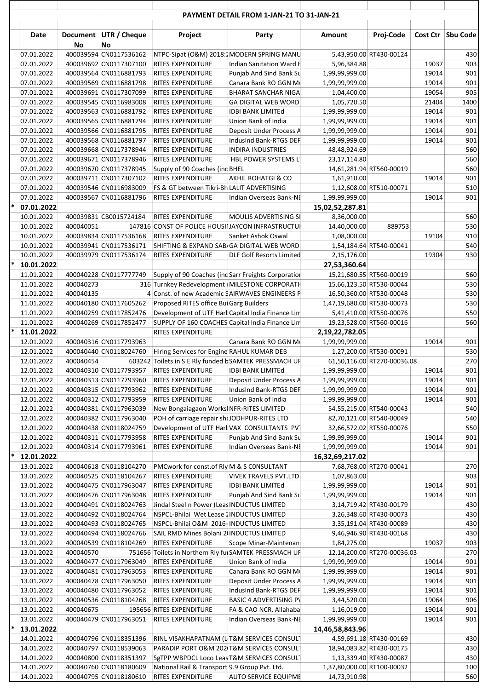|   | Date                     |           | Document UTR / Cheque                            | Project                                                                 | Party                                                    | Amount                         | Proj-Code                                           |                | Cost Ctr   Sbu Code |
|---|--------------------------|-----------|--------------------------------------------------|-------------------------------------------------------------------------|----------------------------------------------------------|--------------------------------|-----------------------------------------------------|----------------|---------------------|
|   |                          | No        | No                                               |                                                                         |                                                          |                                |                                                     |                |                     |
|   | 07.01.2022               |           | 400039594 CN0117536162                           | NTPC-Sipat (O&M) 2018:2MODERN SPRING MANU                               |                                                          |                                | 5,43,950.00 RT430-00124                             |                | 430                 |
|   | 07.01.2022               |           | 400039692 CN0117307100                           | <b>RITES EXPENDITURE</b>                                                | Indian Sanitation Ward E                                 | 5,96,384.88                    |                                                     | 19037          | 903                 |
|   | 07.01.2022               |           | 400039564 CN0116881793                           | <b>RITES EXPENDITURE</b>                                                | Punjab And Sind Bank Su                                  | 1,99,99,999.00                 |                                                     | 19014          | 901                 |
|   | 07.01.2022               |           | 400039569 CN0116881798                           | RITES EXPENDITURE                                                       | Canara Bank RO GGN Mt                                    | 1,99,99,999.00                 |                                                     | 19014          | 901                 |
|   | 07.01.2022<br>07.01.2022 |           | 400039691 CN0117307099<br>400039545 CN0116983008 | <b>RITES EXPENDITURE</b><br><b>RITES EXPENDITURE</b>                    | <b>BHARAT SANCHAR NIGA</b><br><b>GA DIGITAL WEB WORD</b> | 1,04,400.00<br>1,05,720.50     |                                                     | 19054<br>21404 | 905<br>1400         |
|   | 07.01.2022               |           | 400039563 CN0116881792                           | <b>RITES EXPENDITURE</b>                                                | <b>IDBI BANK LIMITEd</b>                                 | 1,99,99,999.00                 |                                                     | 19014          | 901                 |
|   | 07.01.2022               |           | 400039565 CN0116881794                           | <b>RITES EXPENDITURE</b>                                                | Union Bank of India                                      | 1,99,99,999.00                 |                                                     | 19014          | 901                 |
|   | 07.01.2022               |           | 400039566 CN0116881795                           | <b>RITES EXPENDITURE</b>                                                | Deposit Under Process A                                  | 1,99,99,999.00                 |                                                     | 19014          | 901                 |
|   | 07.01.2022               |           | 400039568 CN0116881797                           | <b>RITES EXPENDITURE</b>                                                | IndusInd Bank-RTGS DEF                                   | 1,99,99,999.00                 |                                                     | 19014          | 901                 |
|   | 07.01.2022               |           | 400039668 CN0117378944                           | <b>RITES EXPENDITURE</b>                                                | <b>INDIRA INDUSTRIES</b>                                 | 48,48,924.69                   |                                                     |                | 560                 |
|   | 07.01.2022               |           | 400039671 CN0117378946                           | <b>RITES EXPENDITURE</b>                                                | HBL POWER SYSTEMS LT                                     | 23, 17, 114.80                 |                                                     |                | 560                 |
|   | 07.01.2022               |           | 400039670 CN0117378945                           | Supply of 90 Coaches (ind BHEL                                          |                                                          |                                | 14,61,281.94 RT560-00019                            |                | 560                 |
|   | 07.01.2022               |           | 400039711 CN0117307102                           | <b>RITES EXPENDITURE</b>                                                | AKHIL ROHATGI & CO                                       | 1,61,910.00                    |                                                     | 19014          | 901                 |
|   | 07.01.2022               |           | 400039546 CN0116983009                           | FS & GT between Tikri-Bh LALIT ADVERTISING                              |                                                          |                                | 1,12,608.00 RT510-00071                             |                | 510                 |
| * | 07.01.2022<br>07.01.2022 |           | 400039567 CN0116881796                           | RITES EXPENDITURE                                                       | Indian Overseas Bank-NE                                  | 1,99,99,999.00                 |                                                     | 19014          | 901                 |
|   | 10.01.2022               |           | 400039831 CB0015724184                           | <b>RITES EXPENDITURE</b>                                                | MOULIS ADVERTISING SI                                    | 15,02,52,287.81<br>8,36,000.00 |                                                     |                | 560                 |
|   | 10.01.2022               | 400040051 |                                                  | 147816 CONST OF POLICE HOUSILIAYCON INFRASTRUCTUL                       |                                                          | 14,40,000.00                   | 889753                                              |                | 530                 |
|   | 10.01.2022               |           | 400039834 CN0117536168                           | <b>RITES EXPENDITURE</b>                                                | Sanket Ashok Oswal                                       | 1,08,000.00                    |                                                     | 19104          | 910                 |
|   | 10.01.2022               |           | 400039941 CN0117536171                           | SHIFTING & EXPAND SAB/GA DIGITAL WEB WORD                               |                                                          |                                | 1,54,184.64 RT540-00041                             |                | 540                 |
|   | 10.01.2022               |           | 400039979 CN0117536174                           | <b>RITES EXPENDITURE</b>                                                | <b>DLF Golf Resorts Limited</b>                          | 2,15,176.00                    |                                                     | 19304          | 930                 |
|   | 10.01.2022               |           |                                                  |                                                                         |                                                          | 27,53,360.64                   |                                                     |                |                     |
|   | 11.01.2022               |           | 400040228 CN0117777749                           | Supply of 90 Coaches (ind Sarr Freights Corporation                     |                                                          |                                | 15,21,680.55 RT560-00019                            |                | 560                 |
|   | 11.01.2022               | 400040273 |                                                  | 316 Turnkey Redevelopment (MILESTONE CORPORATION                        |                                                          |                                | 15,66,123.50 RT530-00044                            |                | 530                 |
|   | 11.01.2022               | 400040135 |                                                  | 4 Const. of new Academic SAIRWAVES ENGINEERS P                          |                                                          |                                | 16,50,360.00 RT530-00048                            |                | 530                 |
|   | 11.01.2022               |           | 400040180 CN0117605262                           | Proposed RITES office Bui Garg Builders                                 |                                                          | 1,47,19,680.00 RT530-00073     |                                                     |                | 530                 |
|   | 11.01.2022<br>11.01.2022 |           | 400040259 CN0117852476<br>400040269 CN0117852477 | Development of UTF Hart Capital India Finance Lim                       |                                                          |                                | 5,41,410.00 RT550-00076<br>19,23,528.00 RT560-00016 |                | 550<br>560          |
| * | 11.01.2022               |           |                                                  | SUPPLY OF 160 COACHES Capital India Finance Lim<br>RITES EXPENDITURE    |                                                          | 2,19,22,782.05                 |                                                     |                |                     |
|   | 12.01.2022               |           | 400040316 CN0117793963                           |                                                                         | Canara Bank RO GGN Mi                                    | 1,99,99,999.00                 |                                                     | 19014          | 901                 |
|   | 12.01.2022               |           | 400040440 CN0118024760                           | Hiring Services for Engine RAHUL KUMAR DEB                              |                                                          |                                | 1,27,200.00 RT530-00091                             |                | 530                 |
|   | 12.01.2022               | 400040454 |                                                  | 603242 Toilets in S E Rly funded b SAMTEK PRESSMACH UF                  |                                                          |                                | 61,50,116.00 RT270-00036.08                         |                | 270                 |
|   | 12.01.2022               |           | 400040310 CN0117793957                           | <b>RITES EXPENDITURE</b>                                                | <b>IDBI BANK LIMITEd</b>                                 | 1,99,99,999.00                 |                                                     | 19014          | 901                 |
|   | 12.01.2022               |           | 400040313 CN0117793960                           | RITES EXPENDITURE                                                       | Deposit Under Process A                                  | 1,99,99,999.00                 |                                                     | 19014          | 901                 |
|   | 12.01.2022               |           | 400040315 CN0117793962                           | RITES EXPENDITURE                                                       | IndusInd Bank-RTGS DEF                                   | 1,99,99,999.00                 |                                                     | 19014          | 901                 |
|   | 12.01.2022               |           | 400040312 CN0117793959                           | RITES EXPENDITURE                                                       | Union Bank of India                                      | 1,99,99,999.00                 |                                                     | 19014          | 901                 |
|   | 12.01.2022               |           | 400040381 CN0117963039                           | New Bongaiagaon Works NFR-RITES LIMITED                                 |                                                          |                                | 54,55,215.00 RT540-00043                            |                | 540                 |
|   | 12.01.2022               |           | 400040382 CN0117963040                           | POH of carriage repair shoJODHPUR-RITES LTD                             |                                                          |                                | 82,70,121.00 RT540-00049                            |                | 540                 |
|   | 12.01.2022<br>12.01.2022 |           | 400040438 CN0118024759<br>400040311 CN0117793958 | Development of UTF Harl VAX CONSULTANTS PVT<br><b>RITES EXPENDITURE</b> | Punjab And Sind Bank Su                                  | 1,99,99,999.00                 | 32,66,572.02 RT550-00076                            | 19014          | 550<br>901          |
|   | 12.01.2022               |           | 400040314 CN0117793961                           | RITES EXPENDITURE                                                       | Indian Overseas Bank-NE                                  | 1,99,99,999.00                 |                                                     | 19014          | 901                 |
| ÷ | 12.01.2022               |           |                                                  |                                                                         |                                                          | 16,32,69,217.02                |                                                     |                |                     |
|   | 13.01.2022               |           | 400040618 CN0118104270                           | PMCwork for const.of Rly M & S CONSULTANT                               |                                                          |                                | 7,68,768.00 RT270-00041                             |                | 270                 |
|   | 13.01.2022               |           | 400040525 CN0118104267                           | <b>RITES EXPENDITURE</b>                                                | VIVEK TRAVELS PVT.LTD.                                   | 1,07,863.00                    |                                                     |                | 903                 |
|   | 13.01.2022               |           | 400040475 CN0117963047                           | RITES EXPENDITURE                                                       | <b>IDBI BANK LIMITEd</b>                                 | 1,99,99,999.00                 |                                                     | 19014          | 901                 |
|   | 13.01.2022               |           | 400040476 CN0117963048                           | RITES EXPENDITURE                                                       | Punjab And Sind Bank Su                                  | 1,99,99,999.00                 |                                                     | 19014          | 901                 |
|   | 13.01.2022               |           | 400040491 CN0118024763                           | Jindal Steel n Power (Leas INDUCTUS LIMITED                             |                                                          |                                | 3,14,719.42 RT430-00179                             |                | 430                 |
|   | 13.01.2022               |           | 400040492 CN0118024764                           | NSPCL-Bhilai Wet Lease 2INDUCTUS LIMITED                                |                                                          |                                | 3,26,348.60 RT430-00073                             |                | 430                 |
|   | 13.01.2022               |           | 400040493 CN0118024765<br>400040494 CN0118024766 | NSPCL-Bhilai O&M 2016-INDUCTUS LIMITED                                  |                                                          |                                | 3,35,191.04 RT430-00089                             |                | 430<br>430          |
|   | 13.01.2022<br>13.01.2022 |           | 400040539 CN0118104269                           | SAIL RMD Mines Bolani 2(INDUCTUS LIMITED<br>RITES EXPENDITURE           | Scope Minar-Maintenan                                    | 1,84,275.00                    | 9,46,946.90 RT430-00168                             | 19037          | 903                 |
|   | 13.01.2022               | 400040570 |                                                  | 751656 Toilets in Northern Rly ful SAMTEK PRESSMACH UF                  |                                                          |                                | 12,14,200.00 RT270-00036.03                         |                | 270                 |
|   | 13.01.2022               |           | 400040477 CN0117963049                           | RITES EXPENDITURE                                                       | Union Bank of India                                      | 1,99,99,999.00                 |                                                     | 19014          | 901                 |
|   | 13.01.2022               |           | 400040481 CN0117963053                           | <b>RITES EXPENDITURE</b>                                                | Canara Bank RO GGN Mu                                    | 1,99,99,999.00                 |                                                     | 19014          | 901                 |
|   | 13.01.2022               |           | 400040478 CN0117963050                           | <b>RITES EXPENDITURE</b>                                                | Deposit Under Process A                                  | 1,99,99,999.00                 |                                                     | 19014          | 901                 |
|   | 13.01.2022               |           | 400040480 CN0117963052                           | RITES EXPENDITURE                                                       | IndusInd Bank-RTGS DEF                                   | 1,99,99,999.00                 |                                                     | 19014          | 901                 |
|   | 13.01.2022               |           | 400040536 CN0118104268                           | RITES EXPENDITURE                                                       | <b>BASIC 4 ADVERTISING PV</b>                            | 3,44,520.00                    |                                                     | 19064          | 906                 |
|   | 13.01.2022               | 400040675 |                                                  | 195656 RITES EXPENDITURE                                                | FA & CAO NCR, Allahaba                                   | 1,16,019.00                    |                                                     | 19014          | 901                 |
| * | 13.01.2022               |           | 400040479 CN0117963051                           | <b>RITES EXPENDITURE</b>                                                | Indian Overseas Bank-NE                                  | 1,99,99,999.00                 |                                                     | 19014          | 901                 |
|   | 13.01.2022<br>14.01.2022 |           | 400040796 CN0118351396                           | RINL VISAKHAPATNAM (L T&M SERVICES CONSULT                              |                                                          | 14,46,58,843.96                | 4,59,691.18 RT430-00169                             |                | 430                 |
|   | 14.01.2022               |           | 400040797 CN0118539063                           | PARADIP PORT O&M 202 T&M SERVICES CONSULT                               |                                                          |                                | 18,94,083.82 RT430-00175                            |                | 430                 |
|   | 14.01.2022               |           | 400040800 CN0118351397                           | SgTPP WBPDCL Loco Leas T&M SERVICES CONSULT                             |                                                          |                                | 1,13,339.40 RT430-00087                             |                | 430                 |
|   | 14.01.2022               |           | 400040760 CN0118180609                           | National Rail & Transport 9.9 Group Pvt. Ltd.                           |                                                          | 1,37,80,000.00 RT100-00032     |                                                     |                | 100                 |
|   | 14.01.2022               |           | 400040795 CN0118180610                           | RITES EXPENDITURE                                                       | <b>AUTO SERVICE EQUIPME</b>                              | 14,73,910.98                   |                                                     |                | 560                 |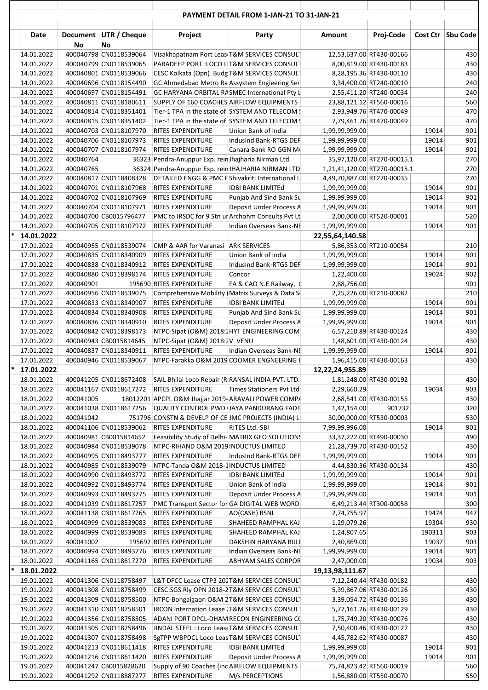|        |                          |           |                                                  |                                                                        | <b>PAYMENT DETAIL FROM 1-JAN-21 TO 31-JAN-21</b> |                              |                            |        |                     |
|--------|--------------------------|-----------|--------------------------------------------------|------------------------------------------------------------------------|--------------------------------------------------|------------------------------|----------------------------|--------|---------------------|
|        | Date                     | No        | Document UTR / Cheque<br>No                      | Project                                                                | Party                                            | Amount                       | Proj-Code                  |        | Cost Ctr   Sbu Code |
|        | 14.01.2022               |           | 400040798 CN0118539064                           | Visakhapatnam Port Leas T&M SERVICES CONSULT                           |                                                  |                              | 12,53,637.00 RT430-00166   |        | 430                 |
|        | 14.01.2022               |           | 400040799 CN0118539065                           | PARADEEP PORT : LOCO L T&M SERVICES CONSULT                            |                                                  |                              | 8,00,819.00 RT430-00183    |        | 430                 |
|        | 14.01.2022               |           | 400040801 CN0118539066                           | CESC Kolkata (Opn) Budg T&M SERVICES CONSULT                           |                                                  |                              | 8,28,195.36 RT430-00110    |        | 430                 |
|        | 14.01.2022               |           | 400040696 CN0118154490                           | GC Ahmedabad Metro Ra Assystem Engieering Ser                          |                                                  |                              | 3,34,400.00 RT240-00010    |        | 240                 |
|        | 14.01.2022               |           | 400040697 CN0118154491                           | GC HARYANA ORBITAL RASMEC International Pty L                          |                                                  |                              | 2,55,411.20 RT240-00034    |        | 240                 |
|        | 14.01.2022               |           | 400040811 CN0118180611                           | SUPPLY OF 160 COACHES AIRFLOW EQUIPMENTS                               |                                                  |                              | 23,88,121.12 RT560-00016   |        | 560                 |
|        | 14.01.2022               |           | 400040814 CN0118351401                           | Tier-1 TPA in the state of SYSTEM AND TELECOM \$                       |                                                  |                              | 2,93,949.76 RT470-00049    |        | 470                 |
|        | 14.01.2022               |           | 400040815 CN0118351402                           | Tier-1 TPA in the state of SYSTEM AND TELECOM \$                       |                                                  |                              | 7,79,461.76 RT470-00049    |        | 470                 |
|        | 14.01.2022               |           | 400040703 CN0118107970                           | RITES EXPENDITURE                                                      | Union Bank of India                              | 1,99,99,999.00               |                            | 19014  | 901                 |
|        | 14.01.2022               |           | 400040706 CN0118107973                           | RITES EXPENDITURE                                                      | IndusInd Bank-RTGS DEF                           | 1,99,99,999.00               |                            | 19014  | 901                 |
|        | 14.01.2022               |           | 400040707 CN0118107974                           | RITES EXPENDITURE                                                      | Canara Bank RO GGN ML                            | 1,99,99,999.00               |                            | 19014  | 901                 |
|        | 14.01.2022               | 400040764 |                                                  | 36323 Pendra-Anuppur Exp. rein Jhajharia Nirman Ltd.                   |                                                  |                              | 35,97,120.00 RT270-00015.1 |        | 270                 |
|        | 14.01.2022               | 400040765 |                                                  | 36324 Pendra-Anuppur Exp. rein JHAJHARIA NIRMAN LTD                    |                                                  | 1,21,41,120.00 RT270-00015.1 |                            |        | 270                 |
|        | 14.01.2022               |           | 400040817 CN0118408328                           | DETAILED ENGG & PMC F Shivakriti International L                       |                                                  | 4,49,70,887.00 RT270-00035   |                            |        | 270                 |
|        | 14.01.2022               |           | 400040701 CN0118107968                           | RITES EXPENDITURE                                                      | <b>IDBI BANK LIMITEd</b>                         | 1,99,99,999.00               |                            | 19014  | 901                 |
|        | 14.01.2022               |           | 400040702 CN0118107969                           | RITES EXPENDITURE                                                      | Punjab And Sind Bank Su                          | 1,99,99,999.00               |                            | 19014  | 901                 |
|        | 14.01.2022               |           | 400040704 CN0118107971                           | RITES EXPENDITURE<br>PMC to IRSDC for 9 Stn ur Archohm Consults Pvt Lt | Deposit Under Process A                          | 1,99,99,999.00               | 2,00,000.00 RT520-00001    | 19014  | 901                 |
|        | 14.01.2022<br>14.01.2022 |           | 400040700 CB0015796477<br>400040705 CN0118107972 | RITES EXPENDITURE                                                      | Indian Overseas Bank-NE                          | 1,99,99,999.00               |                            | 19014  | 520<br>901          |
| *      | 14.01.2022               |           |                                                  |                                                                        |                                                  | 22,55,64,140.58              |                            |        |                     |
|        | 17.01.2022               |           | 400040955 CN0118539074                           | CMP & AAR for Varanasi ARK SERVICES                                    |                                                  |                              | 5,86,353.00 RT210-00054    |        | 210                 |
|        | 17.01.2022               |           | 400040835 CN0118340909                           | RITES EXPENDITURE                                                      | Union Bank of India                              | 1,99,99,999.00               |                            | 19014  | 901                 |
|        | 17.01.2022               |           | 400040838 CN0118340912                           | RITES EXPENDITURE                                                      | IndusInd Bank-RTGS DEF                           | 1,99,99,999.00               |                            | 19014  | 901                 |
|        | 17.01.2022               |           | 400040880 CN0118398174                           | RITES EXPENDITURE                                                      | Concor                                           | 1,22,400.00                  |                            | 19024  | 902                 |
|        | 17.01.2022               | 400040901 |                                                  | 195690 RITES EXPENDITURE                                               | FA & CAO N.E.Railway, (                          | 2,88,756.00                  |                            |        | 901                 |
|        | 17.01.2022               |           | 400040956 CN0118539075                           | Comprehensive Mobility (Matrix Surveys & Data Se                       |                                                  |                              | 2,25,226.00 RT210-00082    |        | 210                 |
|        | 17.01.2022               |           | 400040833 CN0118340907                           | RITES EXPENDITURE                                                      | <b>IDBI BANK LIMITEd</b>                         | 1,99,99,999.00               |                            | 19014  | 901                 |
|        | 17.01.2022               |           | 400040834 CN0118340908                           | RITES EXPENDITURE                                                      | Punjab And Sind Bank Su                          | 1,99,99,999.00               |                            | 19014  | 901                 |
|        | 17.01.2022               |           | 400040836 CN0118340910                           | RITES EXPENDITURE                                                      | Deposit Under Process A                          | 1,99,99,999.00               |                            | 19014  | 901                 |
|        | 17.01.2022               |           | 400040842 CN0118398173                           | NTPC-Sipat (O&M) 2018:2HYT ENGINEERING COM                             |                                                  |                              | 6,57,210.89 RT430-00124    |        | 430                 |
|        | 17.01.2022               |           | 400040943 CB0015814645                           | NTPC-Sipat (O&M) 2018:2V. VENU                                         |                                                  |                              | 1,48,601.00 RT430-00124    |        | 430<br>901          |
|        | 17.01.2022<br>17.01.2022 |           | 400040837 CN0118340911<br>400040946 CN0118539067 | RITES EXPENDITURE<br>NTPC-Farakka O&M 2019 COOMER ENGNEERING E         | Indian Overseas Bank-NE                          | 1,99,99,999.00               | 1,96,415.00 RT430-00163    | 19014  | 430                 |
| $\ast$ | 17.01.2022               |           |                                                  |                                                                        |                                                  | 12,22,24,955.89              |                            |        |                     |
|        | 18.01.2022               |           | 400041205 CN0118672408                           | SAIL Bhilai Loco Repair (R RANSAL INDIA PVT. LTD.                      |                                                  |                              | 1,81,248.00 RT430-00192    |        | 430                 |
|        | 18.01.2022               |           | 400041167 CN0118617272                           | RITES EXPENDITURE                                                      | Times Stationers Pvt Ltd                         | 2,29,660.29                  |                            | 19034  | 903                 |
|        | 18.01.2022               | 400041005 |                                                  | 18012201 APCPL O&M Jhajjar 2019-ARAVALI POWER COMPA                    |                                                  |                              | 2,68,541.00 RT430-00155    |        | 430                 |
|        | 18.01.2022               |           | 400041038 CN0118617256                           | QUALITY CONTROL PWD JAYA PANDURANG FADT                                |                                                  | 1,42,154.00                  | 901732                     |        | 320                 |
|        | 18.01.2022               | 400041042 |                                                  | 751796 CONSTN & DEVELP OF CE JMC PROJECTS (INDIA) LI                   |                                                  |                              | 30,00,000.00 RT530-00003   |        | 530                 |
|        | 18.01.2022               |           | 400041106 CN0118539062                           | RITES EXPENDITURE                                                      | RITES Ltd.-SBI                                   | 7,99,99,996.00               |                            | 19014  | 901                 |
|        | 18.01.2022               |           | 400040981 CB0015814652                           | Feasibility Study of Delhi- MATRIX GEO SOLUTIONS                       |                                                  |                              | 33,37,222.00 RT490-00030   |        | 490                 |
|        | 18.01.2022               |           | 400040984 CN0118539078                           | NTPC-RIHAND O&M 2019 INDUCTUS LIMITED                                  |                                                  |                              | 21,28,739.70 RT430-00152   |        | 430                 |
|        | 18.01.2022               |           | 400040995 CN0118493777                           | RITES EXPENDITURE                                                      | IndusInd Bank-RTGS DEF                           | 1,99,99,999.00               |                            | 19014  | 901                 |
|        | 18.01.2022               |           | 400040985 CN0118539079                           | NTPC-Tanda O&M 2018-1INDUCTUS LIMITED                                  |                                                  |                              | 4,44,830.36 RT430-00134    |        | 430                 |
|        | 18.01.2022               |           | 400040990 CN0118493772                           | RITES EXPENDITURE                                                      | <b>IDBI BANK LIMITEd</b>                         | 1,99,99,999.00               |                            | 19014  | 901                 |
|        | 18.01.2022               |           | 400040992 CN0118493774                           | RITES EXPENDITURE                                                      | Union Bank of India                              | 1,99,99,999.00               |                            | 19014  | 901                 |
|        | 18.01.2022               |           | 400040993 CN0118493775                           | RITES EXPENDITURE                                                      | Deposit Under Process A                          | 1,99,99,999.00               |                            | 19014  | 901                 |
|        | 18.01.2022               |           | 400041039 CN0118617257                           | PMC Transport Sector for GA DIGITAL WEB WORD                           |                                                  |                              | 6,49,213.44 RT300-00058    |        | 300                 |
|        | 18.01.2022               |           | 400041138 CN0118617265                           | RITES EXPENDITURE                                                      | AO(CASH) BSNL                                    | 2,74,755.97                  |                            | 19474  | 947                 |
|        | 18.01.2022               |           | 400040999 CN0118539083                           | RITES EXPENDITURE                                                      | SHAHEED RAMPHAL KAJ                              | 1,29,079.26                  |                            | 19304  | 930                 |
|        | 18.01.2022               |           | 400040999 CN0118539083                           | RITES EXPENDITURE                                                      | SHAHEED RAMPHAL KAJ                              | 1,24,807.65                  |                            | 190311 | 903                 |
|        | 18.01.2022               | 400041002 |                                                  | 195692 RITES EXPENDITURE                                               | DAKSHIN HARYANA BIJLI                            | 2,40,869.00                  |                            | 19037  | 903                 |
|        | 18.01.2022               |           | 400040994 CN0118493776                           | RITES EXPENDITURE                                                      | Indian Overseas Bank-NE                          | 1,99,99,999.00               |                            | 19014  | 901                 |
|        | 18.01.2022               |           | 400041165 CN0118617270                           | RITES EXPENDITURE                                                      | ABHYAM SALES CORPOR                              | 2,47,000.00                  |                            | 19034  | 903                 |
| *      | 18.01.2022               |           |                                                  |                                                                        |                                                  | 19, 13, 98, 111. 67          |                            |        |                     |
|        | 19.01.2022               |           | 400041306 CN0118758497                           | L&T DFCC Lease CTP3 202 T&M SERVICES CONSULT                           |                                                  |                              | 7,12,240.44 RT430-00182    |        | 430                 |
|        | 19.01.2022               |           | 400041308 CN0118758499                           | CESC:SGS RIv OPN 2018-2T&M SERVICES CONSULT                            |                                                  |                              | 5,39,867.06 RT430-00126    |        | 430                 |
|        | 19.01.2022               |           | 400041309 CN0118758500                           | NTPC-Bongaigaon O&M 2T&M SERVICES CONSULT                              |                                                  |                              | 3,39,054.72 RT430-00136    |        | 430                 |
|        | 19.01.2022               |           | 400041310 CN0118758501                           | IRCON Internation Lease   T&M SERVICES CONSULT                         |                                                  |                              | 5,77,161.26 RT430-00129    |        | 430                 |
|        | 19.01.2022               |           | 400041356 CN0118758505                           | ADANI PORT DPCL-DHAM RECON ENGINEERING CO                              |                                                  |                              | 1,75,749.20 RT430-00076    |        | 430                 |
|        | 19.01.2022               |           | 400041305 CN0118758496                           | JINDAL STEEL : Loco Leas (T&M SERVICES CONSULT                         |                                                  |                              | 7,50,400.46 RT430-00127    |        | 430                 |
|        | 19.01.2022               |           | 400041307 CN0118758498                           | SgTPP WBPDCL Loco Leas T&M SERVICES CONSULT                            |                                                  |                              | 4,45,782.62 RT430-00087    |        | 430                 |
|        | 19.01.2022               |           | 400041213 CN0118611418                           | RITES EXPENDITURE                                                      | <b>IDBI BANK LIMITEd</b>                         | 1,99,99,999.00               |                            | 19014  | 901                 |
|        | 19.01.2022               |           | 400041216 CN0118611420                           | RITES EXPENDITURE                                                      | Deposit Under Process A                          | 1,99,99,999.00               |                            | 19014  | 901                 |
|        | 19.01.2022               |           | 400041247 CB0015828620                           | Supply of 90 Coaches (inc AIRFLOW EQUIPMENTS                           |                                                  |                              | 75,74,823.42 RT560-00019   |        | 560                 |
|        | 19.01.2022               |           | 400041292 CN0118887277                           | <b>RITES EXPENDITURE</b>                                               | M/s PERCEPTIONS                                  |                              | 1,56,880.00 RT550-00070    |        | 550                 |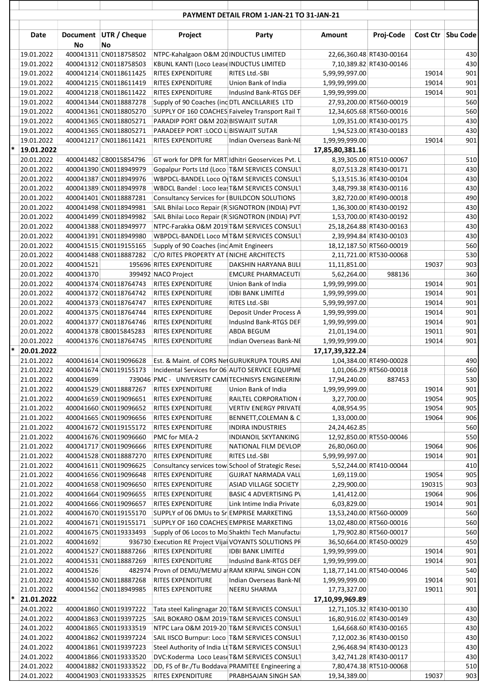|   |                          |           |                                                  |                                                                                                   | <b>THE EXTREMEMENT OF STRAIGHT IN STRAIGHT IN</b>     |                            |                                                    |                |                     |
|---|--------------------------|-----------|--------------------------------------------------|---------------------------------------------------------------------------------------------------|-------------------------------------------------------|----------------------------|----------------------------------------------------|----------------|---------------------|
|   | Date                     | No        | Document UTR / Cheque<br>No                      | Project                                                                                           | Party                                                 | Amount                     | Proj-Code                                          |                | Cost Ctr   Sbu Code |
|   | 19.01.2022               |           | 400041311 CN0118758502                           | NTPC-Kahalgaon O&M 20 INDUCTUS LIMITED                                                            |                                                       |                            | 22,66,360.48 RT430-00164                           |                | 430                 |
|   | 19.01.2022               |           | 400041312 CN0118758503                           | KBUNL KANTI (Loco Lease INDUCTUS LIMITED                                                          |                                                       |                            | 7,10,389.82 RT430-00146                            |                | 430                 |
|   | 19.01.2022               |           | 400041214 CN0118611425                           | <b>RITES EXPENDITURE</b>                                                                          | RITES Ltd.-SBI                                        | 5,99,99,997.00             |                                                    | 19014          | 901                 |
|   | 19.01.2022               |           | 400041215 CN0118611419                           | <b>RITES EXPENDITURE</b>                                                                          | Union Bank of India                                   | 1,99,99,999.00             |                                                    | 19014          | 901                 |
|   | 19.01.2022               |           | 400041218 CN0118611422                           | <b>RITES EXPENDITURE</b>                                                                          | IndusInd Bank-RTGS DEF                                | 1,99,99,999.00             |                                                    | 19014          | 901                 |
|   | 19.01.2022               |           | 400041344 CN0118887278                           | Supply of 90 Coaches (inc DTL ANCILLARIES LTD                                                     |                                                       |                            | 27,93,200.00 RT560-00019                           |                | 560                 |
|   | 19.01.2022               |           | 400041361 CN0118805270                           | SUPPLY OF 160 COACHES Faiveley Transport Rail T                                                   |                                                       |                            | 12,34,605.68 RT560-00016                           |                | 560                 |
|   | 19.01.2022               |           | 400041365 CN0118805271                           | PARADIP PORT O&M 202 BISWAJIT SUTAR                                                               |                                                       |                            | 1,09,351.00 RT430-00175                            |                | 430                 |
|   | 19.01.2022               |           | 400041365 CN0118805271                           | PARADEEP PORT : LOCO L BISWAJIT SUTAR                                                             |                                                       |                            | 1,94,523.00 RT430-00183                            |                | 430                 |
|   | 19.01.2022               |           | 400041217 CN0118611421                           | RITES EXPENDITURE                                                                                 | Indian Overseas Bank-NE                               | 1,99,99,999.00             |                                                    | 19014          | 901                 |
| * | 19.01.2022               |           |                                                  |                                                                                                   |                                                       | 17,85,80,381.16            |                                                    |                |                     |
|   | 20.01.2022               |           | 400041482 CB0015854796                           | GT work for DPR for MRT Idhitri Geoservices Pvt. L                                                |                                                       |                            | 8,39,305.00 RT510-00067                            |                | 510                 |
|   | 20.01.2022<br>20.01.2022 |           | 400041390 CN0118949979<br>400041387 CN0118949976 | Gopalpur Ports Ltd (Loco T&M SERVICES CONSULT<br>WBPDCL-BANDEL Loco O T&M SERVICES CONSULT        |                                                       |                            | 8,07,513.28 RT430-00171<br>5,13,515.36 RT430-00104 |                | 430<br>430          |
|   | 20.01.2022               |           | 400041389 CN0118949978                           | WBDCL Bandel: Loco leasT&M SERVICES CONSULT                                                       |                                                       |                            | 3,48,799.38 RT430-00116                            |                | 430                 |
|   | 20.01.2022               |           | 400041401 CN0118887281                           | Consultancy Services for IBUILDCON SOLUTIONS                                                      |                                                       |                            | 3,82,720.00 RT490-00018                            |                | 490                 |
|   | 20.01.2022               |           | 400041498 CN0118949981                           | SAIL Bhilai Loco Repair (R SIGNOTRON (INDIA) PVT                                                  |                                                       |                            | 1,36,300.00 RT430-00192                            |                | 430                 |
|   | 20.01.2022               |           | 400041499 CN0118949982                           | SAIL Bhilai Loco Repair (R SIGNOTRON (INDIA) PVT                                                  |                                                       |                            | 1,53,700.00 RT430-00192                            |                | 430                 |
|   | 20.01.2022               |           | 400041388 CN0118949977                           | NTPC-Farakka O&M 2019 T&M SERVICES CONSULT                                                        |                                                       |                            | 25,18,264.88 RT430-00163                           |                | 430                 |
|   | 20.01.2022               |           | 400041391 CN0118949980                           | WBPDCL-BANDEL Loco MT&M SERVICES CONSULT                                                          |                                                       |                            | 2,39,994.84 RT430-00103                            |                | 430                 |
|   | 20.01.2022               |           | 400041515 CN0119155165                           | Supply of 90 Coaches (inc Amit Engineers                                                          |                                                       |                            | 18,12,187.50 RT560-00019                           |                | 560                 |
|   | 20.01.2022               |           | 400041488 CN0118887282                           | C/O RITES PROPERTY AT INICHE ARCHITECTS                                                           |                                                       |                            | 2,11,721.00 RT530-00068                            |                | 530                 |
|   | 20.01.2022               | 400041521 |                                                  | 195696 RITES EXPENDITURE                                                                          | DAKSHIN HARYANA BIJLI                                 | 11,11,851.00               |                                                    | 19037          | 903                 |
|   | 20.01.2022               | 400041370 |                                                  | 399492 NACO Project                                                                               | <b>EMCURE PHARMACEUTI</b>                             | 5,62,264.00                | 988136                                             |                | 360                 |
|   | 20.01.2022               |           | 400041374 CN0118764743                           | RITES EXPENDITURE                                                                                 | Union Bank of India                                   | 1,99,99,999.00             |                                                    | 19014          | 901                 |
|   | 20.01.2022               |           | 400041372 CN0118764742                           | <b>RITES EXPENDITURE</b>                                                                          | <b>IDBI BANK LIMITEd</b>                              | 1,99,99,999.00             |                                                    | 19014          | 901                 |
|   | 20.01.2022               |           | 400041373 CN0118764747                           | <b>RITES EXPENDITURE</b>                                                                          | RITES Ltd.-SBI                                        | 5,99,99,997.00             |                                                    | 19014          | 901                 |
|   | 20.01.2022               |           | 400041375 CN0118764744                           | <b>RITES EXPENDITURE</b>                                                                          | Deposit Under Process A                               | 1,99,99,999.00             |                                                    | 19014          | 901                 |
|   | 20.01.2022               |           | 400041377 CN0118764746                           | <b>RITES EXPENDITURE</b>                                                                          | IndusInd Bank-RTGS DEF                                | 1,99,99,999.00             |                                                    | 19014          | 901                 |
|   | 20.01.2022               |           | 400041378 CB0015845283                           | <b>RITES EXPENDITURE</b>                                                                          | ABDA BEGUM                                            | 21,01,194.00               |                                                    | 19011          | 901                 |
|   | 20.01.2022               |           | 400041376 CN0118764745                           | RITES EXPENDITURE                                                                                 | Indian Overseas Bank-NE                               | 1,99,99,999.00             |                                                    | 19014          | 901                 |
| * | 20.01.2022               |           |                                                  |                                                                                                   |                                                       | 17, 17, 39, 322. 24        |                                                    |                |                     |
|   | 21.01.2022               |           | 400041614 CN0119096628                           | Est. & Maint. of CORS Net GURUKRUPA TOURS ANI                                                     |                                                       |                            | 1,04,384.00 RT490-00028                            |                | 490                 |
|   | 21.01.2022               |           | 400041674 CN0119155173                           | Incidental Services for 06 AUTO SERVICE EQUIPME                                                   |                                                       |                            | 1,01,066.29 RT560-00018                            |                | 560                 |
|   | 21.01.2022               | 400041699 |                                                  | 739046 PMC - UNIVERSITY CAMITECHNISYS ENGINEERING                                                 |                                                       | 17,94,240.00               | 887453                                             |                | 530                 |
|   | 21.01.2022               |           | 400041529 CN0118887267                           | RITES EXPENDITURE                                                                                 | Union Bank of India                                   | 1,99,99,999.00             |                                                    | 19014          | 901                 |
|   | 21.01.2022<br>21.01.2022 |           | 400041659 CN0119096651<br>400041660 CN0119096652 | <b>RITES EXPENDITURE</b><br><b>RITES EXPENDITURE</b>                                              | RAILTEL CORPORATION (<br><b>VERTIV ENERGY PRIVATE</b> | 3,27,700.00                |                                                    | 19054<br>19054 | 905<br>905          |
|   | 21.01.2022               |           | 400041665 CN0119096656                           | <b>RITES EXPENDITURE</b>                                                                          | BENNETT, COLEMAN & C                                  | 4,08,954.95<br>1,33,000.00 |                                                    | 19064          | 906                 |
|   | 21.01.2022               |           | 400041672 CN0119155172                           | <b>RITES EXPENDITURE</b>                                                                          | INDIRA INDUSTRIES                                     | 24,24,462.85               |                                                    |                | 560                 |
|   | 21.01.2022               |           | 400041676 CN0119096660                           | PMC for MEA-2                                                                                     | <b>INDIANOIL SKYTANKING</b>                           |                            | 12,92,850.00 RT550-00046                           |                | 550                 |
|   | 21.01.2022               |           | 400041717 CN0119096666                           | <b>RITES EXPENDITURE</b>                                                                          | NATIONAL FILM DEVLOP                                  | 26,80,060.00               |                                                    | 19064          | 906                 |
|   | 21.01.2022               |           | 400041528 CN0118887270                           | <b>RITES EXPENDITURE</b>                                                                          | RITES Ltd.-SBI                                        | 5,99,99,997.00             |                                                    | 19014          | 901                 |
|   | 21.01.2022               |           | 400041611 CN0119096625                           | Consultancy services tow School of Strategic Resea                                                |                                                       |                            | 5,52,244.00 RT410-00044                            |                | 410                 |
|   | 21.01.2022               |           | 400041656 CN0119096648                           | <b>RITES EXPENDITURE</b>                                                                          | <b>GUJRAT NARMADA VALL</b>                            | 1,69,119.00                |                                                    | 19054          | 905                 |
|   | 21.01.2022               |           | 400041658 CN0119096650                           | <b>RITES EXPENDITURE</b>                                                                          | <b>ASIAD VILLAGE SOCIETY</b>                          | 2,29,900.00                |                                                    | 190315         | 903                 |
|   | 21.01.2022               |           | 400041664 CN0119096655                           | RITES EXPENDITURE                                                                                 | <b>BASIC 4 ADVERTISING PV</b>                         | 1,41,412.00                |                                                    | 19064          | 906                 |
|   | 21.01.2022               |           | 400041666 CN0119096657                           | RITES EXPENDITURE                                                                                 | Link Intime India Private                             | 6,03,829.00                |                                                    | 19014          | 901                 |
|   | 21.01.2022               |           | 400041670 CN0119155170                           | SUPPLY of 06 DMUs to Sr EMPRISE MARKETING                                                         |                                                       |                            | 13,53,240.00 RT560-00009                           |                | 560                 |
|   | 21.01.2022               |           | 400041671 CN0119155171                           | SUPPLY OF 160 COACHES EMPRISE MARKETING                                                           |                                                       |                            | 13,02,480.00 RT560-00016                           |                | 560                 |
|   | 21.01.2022               |           | 400041675 CN0119333493                           | Supply of 06 Locos to Mo Shakthi Tech Manufactul                                                  |                                                       |                            | 1,79,902.80 RT560-00017                            |                | 560                 |
|   | 21.01.2022               | 400041692 |                                                  | 936730 Execution RE Project Vijai VOYANTS SOLUTIONS PR                                            |                                                       |                            | 36,50,664.00 RT450-00029                           |                | 450                 |
|   | 21.01.2022               |           | 400041527 CN0118887266                           | <b>RITES EXPENDITURE</b>                                                                          | <b>IDBI BANK LIMITEd</b>                              | 1,99,99,999.00             |                                                    | 19014          | 901                 |
|   | 21.01.2022               |           | 400041531 CN0118887269                           | <b>RITES EXPENDITURE</b>                                                                          | IndusInd Bank-RTGS DEF                                | 1,99,99,999.00             |                                                    | 19014          | 901                 |
|   | 21.01.2022               | 400041526 |                                                  | 482974 Provn of DEMU/MEMU at RAM KRIPAL SINGH CON                                                 |                                                       | 1,18,77,141.00 RT540-00046 |                                                    |                | 540                 |
|   | 21.01.2022               |           | 400041530 CN0118887268                           | RITES EXPENDITURE                                                                                 | Indian Overseas Bank-NE                               | 1,99,99,999.00             |                                                    | 19014          | 901                 |
|   | 21.01.2022               |           | 400041562 CN0118949985                           | RITES EXPENDITURE                                                                                 | NEERU SHARMA                                          | 17,73,327.00               |                                                    | 19011          | 901                 |
| ∗ | 21.01.2022               |           |                                                  |                                                                                                   |                                                       | 17,10,99,969.89            |                                                    |                |                     |
|   | 24.01.2022               |           | 400041860 CN0119397222                           | Tata steel Kalingnagar 20 T&M SERVICES CONSULT                                                    |                                                       |                            | 12,71,105.32 RT430-00130                           |                | 430                 |
|   | 24.01.2022               |           | 400041863 CN0119397225                           | SAIL BOKARO O&M 2019-T&M SERVICES CONSULT                                                         |                                                       |                            | 16,80,916.02 RT430-00149                           |                | 430                 |
|   | 24.01.2022               |           | 400041865 CN0119333519                           | NTPC Lara O&M 2019-20 T&M SERVICES CONSULT                                                        |                                                       |                            | 1,64,668.60 RT430-00165                            |                | 430                 |
|   | 24.01.2022<br>24.01.2022 |           | 400041862 CN0119397224<br>400041861 CN0119397223 | SAIL IISCO Burnpur: Loco T&M SERVICES CONSULT<br>Steel Authority of India Lt T&M SERVICES CONSULT |                                                       |                            | 7,12,002.36 RT430-00150                            |                | 430<br>430          |
|   | 24.01.2022               |           | 400041866 CN0119333520                           | DVC:Koderma Loco Lease T&M SERVICES CONSULT                                                       |                                                       |                            | 2,96,468.94 RT430-00123<br>3,42,741.28 RT430-00117 |                | 430                 |
|   | 24.01.2022               |           | 400041882 CN0119333522                           | DD, FS of Br./Tu Boddava PRAMITEE Engineering a                                                   |                                                       |                            | 7,80,474.38 RT510-00068                            |                | 510                 |
|   | 24.01.2022               |           | 400041903 CN0119333525                           | <b>RITES EXPENDITURE</b>                                                                          | PRABHSAJAN SINGH SAN                                  | 19,34,389.00               |                                                    | 19037          | 903                 |
|   |                          |           |                                                  |                                                                                                   |                                                       |                            |                                                    |                |                     |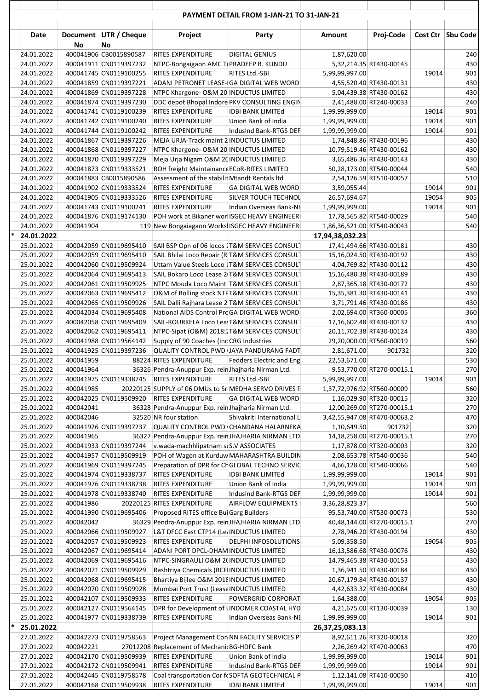|   | Date                     |           | Document UTR / Cheque                            | Project                                                                                           | Party                       | Amount                       | Proj-Code                                            |       | Cost Ctr   Sbu Code |
|---|--------------------------|-----------|--------------------------------------------------|---------------------------------------------------------------------------------------------------|-----------------------------|------------------------------|------------------------------------------------------|-------|---------------------|
|   | 24.01.2022               | No        | No<br>400041906 CB0015890587                     | RITES EXPENDITURE                                                                                 | <b>DIGITAL GENIUS</b>       | 1,87,620.00                  |                                                      |       | 240                 |
|   | 24.01.2022               |           | 400041911 CN0119397232                           | NTPC-Bongaigaon AMC TIPRADEEP B. KUNDU                                                            |                             |                              | 5,32,214.35 RT430-00145                              |       | 430                 |
|   | 24.01.2022               |           | 400041745 CN0119100255                           | <b>RITES EXPENDITURE</b>                                                                          | RITES Ltd.-SBI              | 5,99,99,997.00               |                                                      | 19014 | 901                 |
|   | 24.01.2022               |           | 400041859 CN0119397221                           | ADANI PETRONET LEASE- GA DIGITAL WEB WORD                                                         |                             |                              | 4,55,520.40 RT430-00131                              |       | 430                 |
|   | 24.01.2022               |           | 400041869 CN0119397228                           | NTPC Khargone- O&M 20 INDUCTUS LIMITED                                                            |                             |                              | 5,04,439.38 RT430-00162                              |       | 430                 |
|   | 24.01.2022               |           | 400041874 CN0119397230                           | DDC depot Bhopal Indore PKV CONSULTING ENGIN                                                      |                             |                              | 2,41,488.00 RT240-00033                              |       | 240                 |
|   | 24.01.2022               |           | 400041741 CN0119100239                           | RITES EXPENDITURE                                                                                 | <b>IDBI BANK LIMITEd</b>    | 1,99,99,999.00               |                                                      | 19014 | 901                 |
|   | 24.01.2022               |           | 400041742 CN0119100240                           | RITES EXPENDITURE                                                                                 | Union Bank of India         | 1,99,99,999.00               |                                                      | 19014 | 901                 |
|   | 24.01.2022               |           | 400041744 CN0119100242                           | RITES EXPENDITURE<br>MEJA URJA-Track maint 2 INDUCTUS LIMITED                                     | IndusInd Bank-RTGS DEF      | 1,99,99,999.00               |                                                      | 19014 | 901<br>430          |
|   | 24.01.2022<br>24.01.2022 |           | 400041867 CN0119397226<br>400041868 CN0119397227 | NTPC Khargone- O&M 20 INDUCTUS LIMITED                                                            |                             |                              | 1,74,848.86 RT430-00196<br>10,79,519.46 RT430-00162  |       | 430                 |
|   | 24.01.2022               |           | 400041870 CN0119397229                           | Meja Urja Nigam O&M 20 INDUCTUS LIMITED                                                           |                             |                              | 3,65,486.36 RT430-00143                              |       | 430                 |
|   | 24.01.2022               |           | 400041873 CN0119333521                           | ROH freight Maintainance ECoR-RITES LIMITED                                                       |                             |                              | 50,28,173.00 RT540-00044                             |       | 540                 |
|   | 24.01.2022               |           | 400041883 CB0015890586                           | Assessment of the stabilit Mtandt Rentals Itd                                                     |                             |                              | 2,54,126.59 RT510-00057                              |       | 510                 |
|   | 24.01.2022               |           | 400041902 CN0119333524                           | RITES EXPENDITURE                                                                                 | <b>GA DIGITAL WEB WORD</b>  | 3,59,055.44                  |                                                      | 19014 | 901                 |
|   | 24.01.2022               |           | 400041905 CN0119333526                           | <b>RITES EXPENDITURE</b>                                                                          | SILVER TOUCH TECHNOL        | 26,57,694.67                 |                                                      | 19054 | 905                 |
|   | 24.01.2022               |           | 400041743 CN0119100241                           | <b>RITES EXPENDITURE</b>                                                                          | Indian Overseas Bank-NE     | 1,99,99,999.00               |                                                      | 19014 | 901                 |
|   | 24.01.2022               |           | 400041876 CN0119174130                           | POH work at Bikaner wor ISGEC HEAVY ENGINEERI                                                     |                             |                              | 17,78,565.82 RT540-00029                             |       | 540                 |
|   | 24.01.2022               | 400041904 |                                                  | 119 New Bongaiagaon Works ISGEC HEAVY ENGINEERI                                                   |                             | 1,86,36,521.00 RT540-00043   |                                                      |       | 540                 |
|   | 24.01.2022               |           |                                                  |                                                                                                   |                             | 17,94,38,032.23              |                                                      |       | 430                 |
|   | 25.01.2022<br>25.01.2022 |           | 400042059 CN0119695410<br>400042059 CN0119695410 | SAII BSP Opn of 06 locos 1T&M SERVICES CONSULT<br>SAIL Bhilai Loco Repair (R T&M SERVICES CONSULT |                             |                              | 17,41,494.66 RT430-00181<br>15,16,024.50 RT430-00192 |       | 430                 |
|   | 25.01.2022               |           | 400042060 CN0119509924                           | Uttam Value Steels Loco IT&M SERVICES CONSULT                                                     |                             |                              | 4,04,769.82 RT430-00112                              |       | 430                 |
|   | 25.01.2022               |           | 400042064 CN0119695413                           | SAIL Bokaro Loco Lease 2 T&M SERVICES CONSULT                                                     |                             |                              | 15,16,480.38 RT430-00189                             |       | 430                 |
|   | 25.01.2022               |           | 400042061 CN0119509925                           | NTPC Mouda Loco Maint T&M SERVICES CONSULT                                                        |                             |                              | 2,87,365.18 RT430-00172                              |       | 430                 |
|   | 25.01.2022               |           | 400042063 CN0119695412                           | O&M of Rolling stock NTFT&M SERVICES CONSULT                                                      |                             |                              | 15,35,381.30 RT430-00141                             |       | 430                 |
|   | 25.01.2022               |           | 400042065 CN0119509926                           | SAIL Dalli Rajhara Lease 2 T&M SERVICES CONSULT                                                   |                             |                              | 3,71,791.46 RT430-00186                              |       | 430                 |
|   | 25.01.2022               |           | 400042034 CN0119695408                           | National AIDS Control Pro GA DIGITAL WEB WORD                                                     |                             |                              | 2,02,694.00 RT360-00005                              |       | 360                 |
|   | 25.01.2022               |           | 400042058 CN0119695409                           | SAIL-ROURKELA Loco Lea T&M SERVICES CONSULT                                                       |                             |                              | 17,16,602.48 RT430-00132                             |       | 430                 |
|   | 25.01.2022               |           | 400042062 CN0119695411                           | NTPC-Sipat (O&M) 2018: T&M SERVICES CONSULT                                                       |                             |                              | 20,11,702.38 RT430-00124                             |       | 430                 |
|   | 25.01.2022<br>25.01.2022 |           | 400041988 CN0119564142<br>400041925 CN0119397236 | Supply of 90 Coaches (inc CRG Industries<br><b>QUALITY CONTROL PWD JAYA PANDURANG FADT</b>        |                             |                              | 29,20,000.00 RT560-00019                             |       | 560<br>320          |
|   | 25.01.2022               | 400041959 |                                                  | 88224 RITES EXPENDITURE                                                                           | Fedders Electric and Eng    | 2,81,671.00<br>22,53,671.00  | 901732                                               |       | 530                 |
|   | 25.01.2022               | 400041964 |                                                  | 36326 Pendra-Anuppur Exp. rein Jhajharia Nirman Ltd.                                              |                             |                              | 9,53,770.00 RT270-00015.1                            |       | 270                 |
|   | 25.01.2022               |           |                                                  | 400041975 CN0119338745 RITES EXPENDITURE                                                          | RITES Ltd.-SBI              | 5,99,99,997.00               |                                                      | 19014 | 901                 |
|   | 25.01.2022               | 400041985 |                                                  | 20220125 SUPPLY of 06 DMUs to Sr MEDHA SERVO DRIVES P                                             |                             | 1,37,72,976.92 RT560-00009   |                                                      |       | 560                 |
|   | 25.01.2022               |           | 400042025 CN0119509920                           | RITES EXPENDITURE                                                                                 | <b>GA DIGITAL WEB WORD</b>  |                              | 1,16,029.90 RT320-00015                              |       | 320                 |
|   | 25.01.2022               | 400042041 |                                                  | 36328 Pendra-Anuppur Exp. rein Jhajharia Nirman Ltd.                                              |                             |                              | 12,00,269.00 RT270-00015.1                           |       | 270                 |
|   | 25.01.2022               | 400042046 |                                                  | 32520 NR four station                                                                             | Shivakriti International L  | 3,42,55,947.08 RT470-00063.2 |                                                      |       | 470                 |
|   | 25.01.2022               |           | 400041926 CN0119397237                           | <b>QUALITY CONTROL PWD CHANDANA HALARNEKA</b>                                                     |                             | 1,10,649.50                  | 901732                                               |       | 320                 |
|   | 25.01.2022               | 400041965 | 36327                                            | Pendra-Anuppur Exp. rein JHAJHARIA NIRMAN LTD                                                     |                             |                              | 14,18,258.00 RT270-00015.1                           |       | 270                 |
|   | 25.01.2022<br>25.01.2022 |           | 400041933 CN0119397244<br>400041957 CN0119509919 | v.wada-machhlipatnam si S.V ASSOCIATES<br>POH of Wagon at Kurduw MAHARASHTRA BUILDIN              |                             |                              | 1,17,878.00 RT320-00003<br>2,08,653.78 RT540-00036   |       | 320<br>540          |
|   | 25.01.2022               |           | 400041969 CN0119397245                           | Preparation of DPR for ChGLOBAL TECHNO SERVIC                                                     |                             |                              | 4,66,128.00 RT540-00066                              |       | 540                 |
|   | 25.01.2022               |           | 400041974 CN0119338737                           | RITES EXPENDITURE                                                                                 | <b>IDBI BANK LIMITEd</b>    | 1,99,99,999.00               |                                                      | 19014 | 901                 |
|   | 25.01.2022               |           | 400041976 CN0119338738                           | RITES EXPENDITURE                                                                                 | Union Bank of India         | 1,99,99,999.00               |                                                      | 19014 | 901                 |
|   | 25.01.2022               |           | 400041978 CN0119338740                           | RITES EXPENDITURE                                                                                 | IndusInd Bank-RTGS DEF      | 1,99,99,999.00               |                                                      | 19014 | 901                 |
|   | 25.01.2022               | 400041986 |                                                  | 20220125 RITES EXPENDITURE                                                                        | AIRFLOW EQUIPMENTS          | 3,36,28,823.37               |                                                      |       | 560                 |
|   | 25.01.2022               |           | 400041990 CN0119695406                           | Proposed RITES office Bui Garg Builders                                                           |                             |                              | 95,53,740.00 RT530-00073                             |       | 530                 |
|   | 25.01.2022               | 400042042 |                                                  | 36329 Pendra-Anuppur Exp. rein JHAJHARIA NIRMAN LTD                                               |                             |                              | 40,48,144.00 RT270-00015.1                           |       | 270                 |
|   | 25.01.2022               |           | 400042066 CN0119509927                           | L&T DFCC East CTP14 (Le: INDUCTUS LIMITED                                                         |                             |                              | 2,78,946.20 RT430-00194                              |       | 430                 |
|   | 25.01.2022<br>25.01.2022 |           | 400042057 CN0119509923<br>400042067 CN0119695414 | RITES EXPENDITURE<br>ADANI PORT DPCL-DHAM INDUCTUS LIMITED                                        | <b>DELPHI INFOSOLUTIONS</b> | 5,09,358.50                  | 16,13,586.68 RT430-00076                             | 19054 | 905<br>430          |
|   | 25.01.2022               |           | 400042069 CN0119695416                           | NTPC-SINGRAULI O&M 2(INDUCTUS LIMITED                                                             |                             |                              | 14,79,465.38 RT430-00153                             |       | 430                 |
|   | 25.01.2022               |           | 400042071 CN0119509929                           | Rashtriya Chemicals (RCF INDUCTUS LIMITED                                                         |                             |                              | 1,36,941.50 RT430-00184                              |       | 430                 |
|   | 25.01.2022               |           | 400042068 CN0119695415                           | Bhartiya Bijlee O&M 2018 INDUCTUS LIMITED                                                         |                             |                              | 20,67,179.84 RT430-00137                             |       | 430                 |
|   | 25.01.2022               |           | 400042070 CN0119509928                           | Mumbai Port Trust (Lease INDUCTUS LIMITED                                                         |                             |                              | 4,42,633.32 RT430-00084                              |       | 430                 |
|   | 25.01.2022               |           | 400042107 CN0119509933                           | <b>RITES EXPENDITURE</b>                                                                          | POWERGRID CORPORAT          | 1,64,388.00                  |                                                      | 19054 | 905                 |
|   | 25.01.2022               |           | 400042127 CN0119564145                           | DPR for Development of IINDOMER COASTAL HYD                                                       |                             |                              | 4,21,675.00 RT130-00039                              |       | 130                 |
|   | 25.01.2022               |           | 400041977 CN0119338739                           | RITES EXPENDITURE                                                                                 | Indian Overseas Bank-NE     | 1,99,99,999.00               |                                                      | 19014 | 901                 |
| ∗ | 25.01.2022               |           |                                                  |                                                                                                   |                             | 26,37,25,083.13              |                                                      |       |                     |
|   | 27.01.2022               |           | 400042273 CN0119758563                           | Project Management Con NN FACILITY SERVICES PY                                                    |                             |                              | 8,92,611.26 RT320-00018                              |       | 320                 |
|   | 27.01.2022<br>27.01.2022 | 400042221 | 400042170 CN0119509939                           | 27012208 Replacement of Mechani BG-HDFC Bank<br>RITES EXPENDITURE                                 | Union Bank of India         | 1,99,99,999.00               | 2,26,269.42 RT470-00063                              | 19014 | 470<br>901          |
|   | 27.01.2022               |           | 400042172 CN0119509941                           | <b>RITES EXPENDITURE</b>                                                                          | IndusInd Bank-RTGS DEF      | 1,99,99,999.00               |                                                      | 19014 | 901                 |
|   | 27.01.2022               |           | 400042445 CN0119758578                           | Coal transportation Cor fo SOFTA GEOTECHNICAL P                                                   |                             |                              | 1,12,141.08 RT410-00030                              |       | 410                 |
|   | 27.01.2022               |           | 400042168 CN0119509938                           | RITES EXPENDITURE                                                                                 | <b>IDBI BANK LIMITEd</b>    | 1,99,99,999.00               |                                                      | 19014 | 901                 |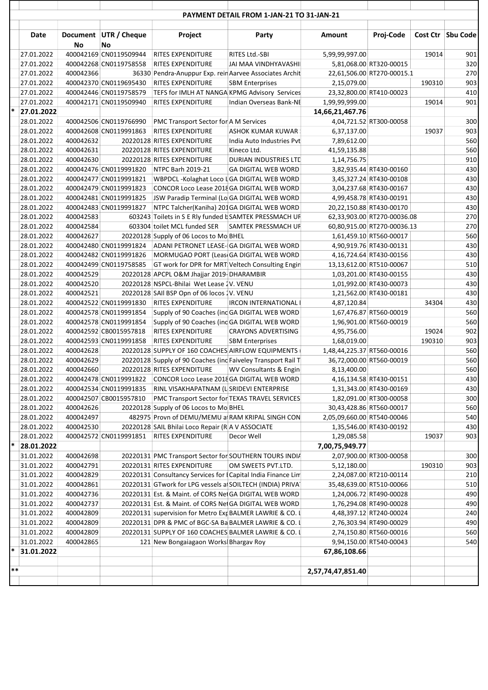|       | Date       | No        | Document UTR / Cheque<br>No | Project                                                                                    | Party                        | Amount                     | Proj-Code                   |        | Cost Ctr   Sbu Code |
|-------|------------|-----------|-----------------------------|--------------------------------------------------------------------------------------------|------------------------------|----------------------------|-----------------------------|--------|---------------------|
|       | 27.01.2022 |           | 400042169 CN0119509944      | RITES EXPENDITURE                                                                          | RITES Ltd.-SBI               | 5,99,99,997.00             |                             | 19014  | 901                 |
|       | 27.01.2022 |           | 400042268 CN0119758558      | RITES EXPENDITURE                                                                          | JAI MAA VINDHYAVASHII        |                            | 5,81,068.00 RT320-00015     |        | 320                 |
|       | 27.01.2022 | 400042366 |                             | 36330 Pendra-Anuppur Exp. rein Aarvee Associates Archit                                    |                              |                            | 22,61,506.00 RT270-00015.1  |        | 270                 |
|       | 27.01.2022 |           | 400042370 CN0119695430      | RITES EXPENDITURE                                                                          | <b>SBM Enterprises</b>       | 2,15,079.00                |                             | 190310 | 903                 |
|       | 27.01.2022 |           | 400042446 CN0119758579      | TEFS for IMLH AT NANGA KPMG Advisory Services                                              |                              |                            | 23,32,800.00 RT410-00023    |        | 410                 |
|       | 27.01.2022 |           | 400042171 CN0119509940      | RITES EXPENDITURE                                                                          | Indian Overseas Bank-NE      | 1,99,99,999.00             |                             | 19014  | 901                 |
| *     | 27.01.2022 |           |                             |                                                                                            |                              | 14,66,21,467.76            |                             |        |                     |
|       | 28.01.2022 |           | 400042506 CN0119766990      | PMC Transport Sector for A M Services                                                      |                              |                            | 4,04,721.52 RT300-00058     |        | 300                 |
|       | 28.01.2022 |           | 400042608 CN0119991863      | <b>RITES EXPENDITURE</b>                                                                   | ASHOK KUMAR KUWAR            | 6,37,137.00                |                             | 19037  | 903                 |
|       | 28.01.2022 | 400042632 |                             | 20220128 RITES EXPENDITURE                                                                 | India Auto Industries Pvt    | 7,89,612.00                |                             |        | 560                 |
|       | 28.01.2022 | 400042631 |                             | 20220128 RITES EXPENDITURE                                                                 | Kineco Ltd.                  | 41,59,135.88               |                             |        | 560                 |
|       | 28.01.2022 | 400042630 |                             | 20220128 RITES EXPENDITURE                                                                 | DURIAN INDUSTRIES LTD        | 1,14,756.75                |                             |        | 910                 |
|       | 28.01.2022 |           | 400042476 CN0119991820      | NTPC Barh 2019-21                                                                          | <b>GA DIGITAL WEB WORD</b>   |                            | 3,82,935.44 RT430-00160     |        | 430                 |
|       | 28.01.2022 |           | 400042477 CN0119991821      | WBPDCL-Kolaghat Loco LGA DIGITAL WEB WORD                                                  |                              |                            | 3,45,327.24 RT430-00108     |        | 430                 |
|       | 28.01.2022 |           | 400042479 CN0119991823      | CONCOR Loco Lease 2018 GA DIGITAL WEB WORD                                                 |                              |                            | 3,04,237.68 RT430-00167     |        | 430                 |
|       | 28.01.2022 |           | 400042481 CN0119991825      | JSW Paradip Terminal (Lo GA DIGITAL WEB WORD                                               |                              |                            | 4,99,458.78 RT430-00191     |        | 430                 |
|       | 28.01.2022 |           | 400042483 CN0119991827      | NTPC Talcher(Kaniha) 201GA DIGITAL WEB WORD                                                |                              |                            | 20,22,150.88 RT430-00170    |        | 430                 |
|       | 28.01.2022 | 400042583 |                             | 603243 Toilets in S E Rly funded b SAMTEK PRESSMACH UF                                     |                              |                            | 62,33,903.00 RT270-00036.08 |        | 270                 |
|       | 28.01.2022 | 400042584 |                             | 603304 toilet MCL funded SER                                                               | SAMTEK PRESSMACH UF          |                            | 60,80,915.00 RT270-00036.13 |        | 270                 |
|       | 28.01.2022 | 400042627 |                             | 20220128 Supply of 06 Locos to Mo BHEL                                                     |                              |                            | 1,61,459.10 RT560-00017     |        | 560                 |
|       | 28.01.2022 |           |                             | 400042480 CN0119991824 ADANI PETRONET LEASE-GA DIGITAL WEB WORD                            |                              |                            | 4,90,919.76 RT430-00131     |        | 430                 |
|       | 28.01.2022 |           | 400042482 CN0119991826      | MORMUGAO PORT (Leas GA DIGITAL WEB WORD                                                    |                              |                            | 4,16,724.64 RT430-00156     |        | 430                 |
|       | 28.01.2022 |           | 400042499 CN0119758585      | GT work for DPR for MRT Veltech Consulting Engin                                           |                              |                            | 13,13,612.00 RT510-00067    |        | 510                 |
|       | 28.01.2022 | 400042529 |                             | 20220128 APCPL O&M Jhajjar 2019-DHARAMBIR                                                  |                              |                            | 1,03,201.00 RT430-00155     |        | 430                 |
|       | 28.01.2022 | 400042520 |                             | 20220128 NSPCL-Bhilai Wet Lease 2V. VENU                                                   |                              |                            | 1,01,992.00 RT430-00073     |        | 430                 |
|       | 28.01.2022 | 400042521 |                             | 20220128 SAII BSP Opn of 06 locos 1V. VENU                                                 |                              |                            | 1,21,562.00 RT430-00181     |        | 430                 |
|       | 28.01.2022 |           | 400042522 CN0119991830      | RITES EXPENDITURE                                                                          | <b>IRCON INTERNATIONAL I</b> | 4,87,120.84                |                             | 34304  | 430                 |
|       | 28.01.2022 |           | 400042578 CN0119991854      | Supply of 90 Coaches (inc GA DIGITAL WEB WORD                                              |                              |                            | 1,67,476.87 RT560-00019     |        | 560                 |
|       | 28.01.2022 |           | 400042578 CN0119991854      | Supply of 90 Coaches (inc GA DIGITAL WEB WORD                                              |                              |                            | 1,96,901.00 RT560-00019     |        | 560                 |
|       | 28.01.2022 |           | 400042592 CB0015957818      |                                                                                            | <b>CRAYONS ADVERTISING</b>   |                            |                             | 19024  | 902                 |
|       | 28.01.2022 |           | 400042593 CN0119991858      | RITES EXPENDITURE<br><b>RITES EXPENDITURE</b>                                              |                              | 4,95,756.00                |                             | 190310 | 903                 |
|       | 28.01.2022 | 400042628 |                             | 20220128 SUPPLY OF 160 COACHES AIRFLOW EQUIPMENTS                                          | <b>SBM Enterprises</b>       | 1,68,019.00                |                             |        | 560                 |
|       |            |           |                             |                                                                                            |                              | 1,48,44,225.37 RT560-00016 |                             |        |                     |
|       | 28.01.2022 | 400042629 |                             | 20220128 Supply of 90 Coaches (inc Faiveley Transport Rail T<br>20220128 RITES EXPENDITURE |                              |                            | 36,72,000.00 RT560-00019    |        | 560                 |
|       | 28.01.2022 | 400042660 |                             |                                                                                            | WV Consultants & Engin       | 8,13,400.00                |                             |        | 560                 |
|       | 28.01.2022 |           |                             | 400042478 CN0119991822 CONCOR Loco Lease 2018 GA DIGITAL WEB WORD                          |                              |                            | 4,16,134.58 RT430-00151     |        | 430                 |
|       | 28.01.2022 |           |                             | 400042534 CN0119991835 RINL VISAKHAPATNAM (LSRIDEVI ENTERPRISE                             |                              |                            | 1,31,343.00 RT430-00169     |        | 430                 |
|       | 28.01.2022 |           | 400042507 CB0015957810      | PMC Transport Sector for TEXAS TRAVEL SERVICES                                             |                              |                            | 1,82,091.00 RT300-00058     |        | 300                 |
|       | 28.01.2022 | 400042626 |                             | 20220128 Supply of 06 Locos to Mo BHEL                                                     |                              |                            | 30,43,428.86 RT560-00017    |        | 560                 |
|       | 28.01.2022 | 400042497 |                             | 482975 Provn of DEMU/MEMU a RAM KRIPAL SINGH CON                                           |                              | 2,05,09,660.00 RT540-00046 |                             |        | 540                 |
|       | 28.01.2022 | 400042530 |                             | 20220128 SAIL Bhilai Loco Repair (R A V ASSOCIATE                                          |                              |                            | 1,35,546.00 RT430-00192     |        | 430                 |
|       | 28.01.2022 |           | 400042572 CN0119991851      | <b>RITES EXPENDITURE</b>                                                                   | Decor Well                   | 1,29,085.58                |                             | 19037  | 903                 |
| *     | 28.01.2022 |           |                             |                                                                                            |                              | 7,00,75,949.77             |                             |        |                     |
|       | 31.01.2022 | 400042698 |                             | 20220131 PMC Transport Sector for SOUTHERN TOURS INDIA                                     |                              |                            | 2,07,900.00 RT300-00058     |        | 300                 |
|       | 31.01.2022 | 400042791 |                             | 20220131 RITES EXPENDITURE                                                                 | OM SWEETS PVT.LTD.           | 5,12,180.00                |                             | 190310 | 903                 |
|       | 31.01.2022 | 400042829 |                             | 20220131 Consultancy Services for [Capital India Finance Lim                               |                              |                            | 2,24,087.00 RT210-00114     |        | 210                 |
|       | 31.01.2022 | 400042861 |                             | 20220131 GTwork for LPG vessels at SOILTECH (INDIA) PRIVAT                                 |                              |                            | 35,48,639.00 RT510-00066    |        | 510                 |
|       | 31.01.2022 | 400042736 |                             | 20220131 Est. & Maint. of CORS Net GA DIGITAL WEB WORD                                     |                              |                            | 1,24,006.72 RT490-00028     |        | 490                 |
|       | 31.01.2022 | 400042737 |                             | 20220131 Est. & Maint. of CORS Net GA DIGITAL WEB WORD                                     |                              |                            | 1,76,294.08 RT490-00028     |        | 490                 |
|       | 31.01.2022 | 400042809 |                             | 20220131 supervision for Metro Exp BALMER LAWRIE & CO. I                                   |                              |                            | 4,48,397.12 RT240-00024     |        | 240                 |
|       | 31.01.2022 | 400042809 |                             | 20220131 DPR & PMC of BGC-SA Ba BALMER LAWRIE & CO. I                                      |                              |                            | 2,76,303.94 RT490-00029     |        | 490                 |
|       | 31.01.2022 | 400042809 |                             | 20220131 SUPPLY OF 160 COACHES BALMER LAWRIE & CO. I                                       |                              |                            | 2,74,150.80 RT560-00016     |        | 560                 |
|       | 31.01.2022 | 400042865 |                             | 121 New Bongaiagaon Works Bhargav Roy                                                      |                              |                            | 9,94,150.00 RT540-00043     |        | 540                 |
| ∗     | 31.01.2022 |           |                             |                                                                                            |                              | 67,86,108.66               |                             |        |                     |
|       |            |           |                             |                                                                                            |                              |                            |                             |        |                     |
| $***$ |            |           |                             |                                                                                            |                              | 2,57,74,47,851.40          |                             |        |                     |